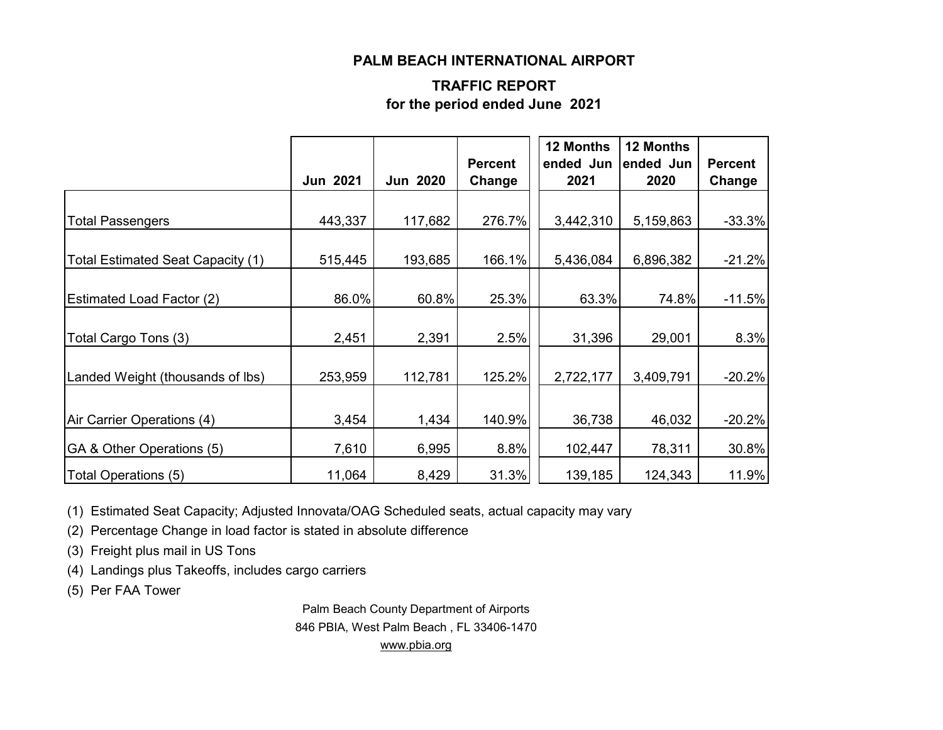#### **PALM BEACH INTERNATIONAL AIRPORT**

#### **TRAFFIC REPORT for the period ended June 2021**

|                                   | <b>Jun 2021</b> | <b>Jun 2020</b> | <b>Percent</b><br>Change | 12 Months<br>ended Jun<br>2021 | 12 Months<br>ended Jun<br>2020 | <b>Percent</b><br>Change |
|-----------------------------------|-----------------|-----------------|--------------------------|--------------------------------|--------------------------------|--------------------------|
|                                   |                 |                 |                          |                                |                                |                          |
| <b>Total Passengers</b>           | 443,337         | 117,682         | 276.7%                   | 3,442,310                      | 5,159,863                      | $-33.3%$                 |
| Total Estimated Seat Capacity (1) | 515,445         | 193,685         | 166.1%                   | 5,436,084                      | 6,896,382                      | $-21.2%$                 |
| <b>Estimated Load Factor (2)</b>  | 86.0%           | 60.8%           | 25.3%                    | 63.3%                          | 74.8%                          | $-11.5%$                 |
| Total Cargo Tons (3)              | 2,451           | 2,391           | 2.5%                     | 31,396                         | 29,001                         | 8.3%                     |
| Landed Weight (thousands of lbs)  | 253,959         | 112,781         | 125.2%                   | 2,722,177                      | 3,409,791                      | $-20.2%$                 |
| Air Carrier Operations (4)        | 3,454           | 1,434           | 140.9%                   | 36,738                         | 46,032                         | $-20.2%$                 |
| GA & Other Operations (5)         | 7,610           | 6,995           | 8.8%                     | 102,447                        | 78,311                         | 30.8%                    |
| Total Operations (5)              | 11,064          | 8,429           | 31.3%                    | 139,185                        | 124,343                        | 11.9%                    |

(1) Estimated Seat Capacity; Adjusted Innovata/OAG Scheduled seats, actual capacity may vary

(2) Percentage Change in load factor is stated in absolute difference

(3) Freight plus mail in US Tons

(4) Landings plus Takeoffs, includes cargo carriers

(5) Per FAA Tower

Palm Beach County Department of Airports 846 PBIA, West Palm Beach , FL 33406-1470 [www.pbia.org](http://www.pbia.org/)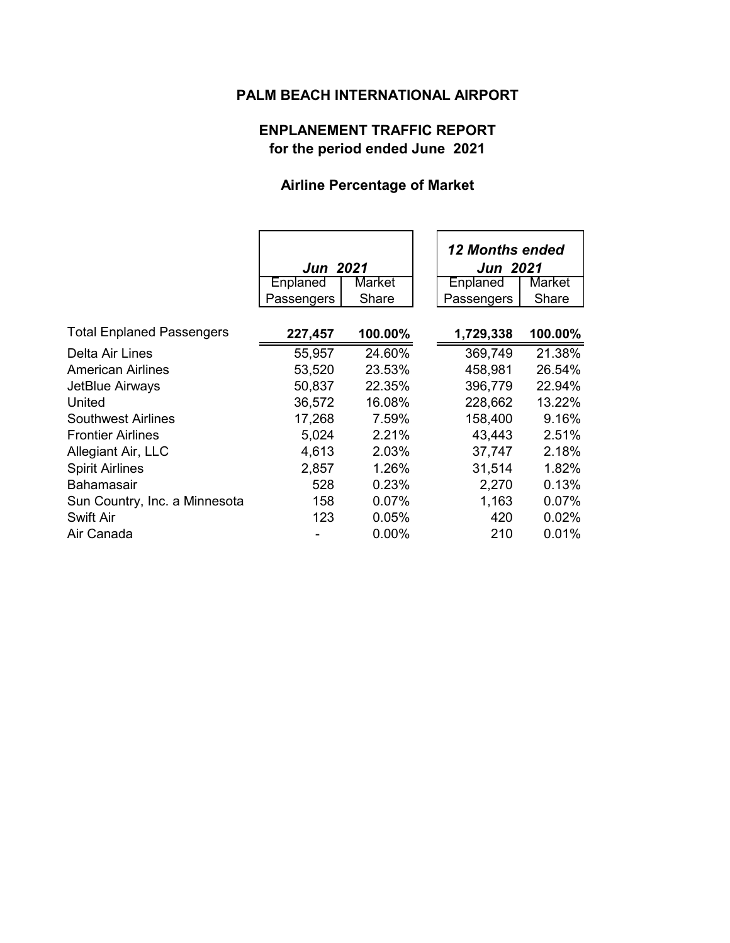## **PALM BEACH INTERNATIONAL AIRPORT**

### **ENPLANEMENT TRAFFIC REPORT for the period ended June 2021**

## **Airline Percentage of Market**

|                                  | <b>Jun 2021</b> |          | <b>12 Months ended</b><br><b>Jun 2021</b> |               |
|----------------------------------|-----------------|----------|-------------------------------------------|---------------|
|                                  | Enplaned        | Market   | Enplaned                                  | <b>Market</b> |
|                                  | Passengers      | Share    | Passengers                                | Share         |
| <b>Total Enplaned Passengers</b> | 227,457         | 100.00%  | 1,729,338                                 | 100.00%       |
| Delta Air Lines                  | 55,957          | 24.60%   | 369,749                                   | 21.38%        |
| <b>American Airlines</b>         | 53,520          | 23.53%   | 458,981                                   | 26.54%        |
| JetBlue Airways                  | 50,837          | 22.35%   | 396,779                                   | 22.94%        |
| United                           | 36,572          | 16.08%   | 228,662                                   | 13.22%        |
| <b>Southwest Airlines</b>        | 17,268          | 7.59%    | 158,400                                   | 9.16%         |
| <b>Frontier Airlines</b>         | 5,024           | 2.21%    | 43,443                                    | 2.51%         |
| Allegiant Air, LLC               | 4,613           | 2.03%    | 37,747                                    | 2.18%         |
| <b>Spirit Airlines</b>           | 2,857           | 1.26%    | 31,514                                    | 1.82%         |
| <b>Bahamasair</b>                | 528             | 0.23%    | 2,270                                     | 0.13%         |
| Sun Country, Inc. a Minnesota    | 158             | $0.07\%$ | 1,163                                     | 0.07%         |
| <b>Swift Air</b>                 | 123             | 0.05%    | 420                                       | 0.02%         |
| Air Canada                       |                 | 0.00%    | 210                                       | 0.01%         |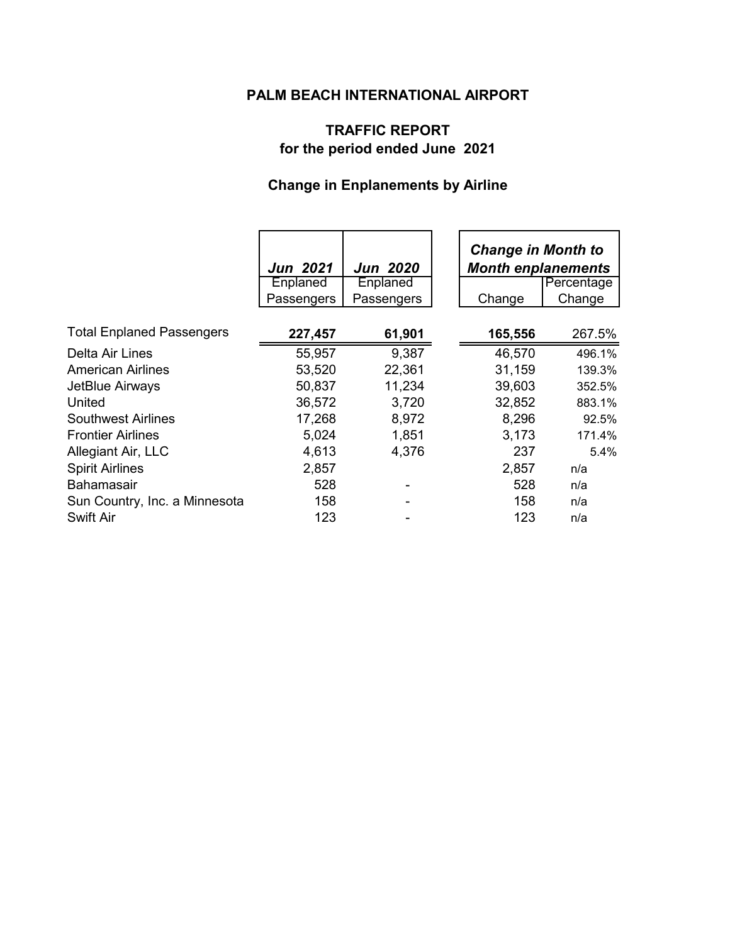## **PALM BEACH INTERNATIONAL AIRPORT**

### **TRAFFIC REPORT for the period ended June 2021**

# **Change in Enplanements by Airline**

|                                  | <b>Jun 2021</b><br>Enplaned | Jun 2020<br>Enplaned | <b>Change in Month to</b><br><b>Month enplanements</b><br>Percentage |        |
|----------------------------------|-----------------------------|----------------------|----------------------------------------------------------------------|--------|
|                                  | Passengers                  | Passengers           | Change                                                               | Change |
|                                  |                             |                      |                                                                      |        |
| <b>Total Enplaned Passengers</b> | 227,457                     | 61,901               | 165,556                                                              | 267.5% |
| Delta Air Lines                  | 55,957                      | 9,387                | 46,570                                                               | 496.1% |
| <b>American Airlines</b>         | 53,520                      | 22,361               | 31,159                                                               | 139.3% |
| JetBlue Airways                  | 50,837                      | 11,234               | 39,603                                                               | 352.5% |
| United                           | 36,572                      | 3,720                | 32,852                                                               | 883.1% |
| <b>Southwest Airlines</b>        | 17,268                      | 8,972                | 8,296                                                                | 92.5%  |
| <b>Frontier Airlines</b>         | 5,024                       | 1,851                | 3,173                                                                | 171.4% |
| Allegiant Air, LLC               | 4,613                       | 4,376                | 237                                                                  | 5.4%   |
| <b>Spirit Airlines</b>           | 2,857                       |                      | 2,857                                                                | n/a    |
| <b>Bahamasair</b>                | 528                         |                      | 528                                                                  | n/a    |
| Sun Country, Inc. a Minnesota    | 158                         |                      | 158                                                                  | n/a    |
| Swift Air                        | 123                         |                      | 123                                                                  | n/a    |